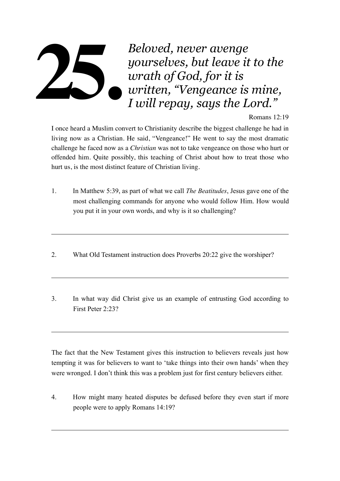## *Beloved, never avenge yourselves, but leave it to the wrath of God, for it is written, "Vengeance is mine, I will repay, says the Lord."*  **25.**

## Romans 12:19

I once heard a Muslim convert to Christianity describe the biggest challenge he had in living now as a Christian. He said, "Vengeance!" He went to say the most dramatic challenge he faced now as a *Christian* was not to take vengeance on those who hurt or offended him. Quite possibly, this teaching of Christ about how to treat those who hurt us, is the most distinct feature of Christian living.

- 1. In Matthew 5:39, as part of what we call *The Beatitudes*, Jesus gave one of the most challenging commands for anyone who would follow Him. How would you put it in your own words, and why is it so challenging?
- 2. What Old Testament instruction does Proverbs 20:22 give the worshiper?
- 3. In what way did Christ give us an example of entrusting God according to First Peter 2:23?

The fact that the New Testament gives this instruction to believers reveals just how tempting it was for believers to want to 'take things into their own hands' when they were wronged. I don't think this was a problem just for first century believers either.

4. How might many heated disputes be defused before they even start if more people were to apply Romans 14:19?